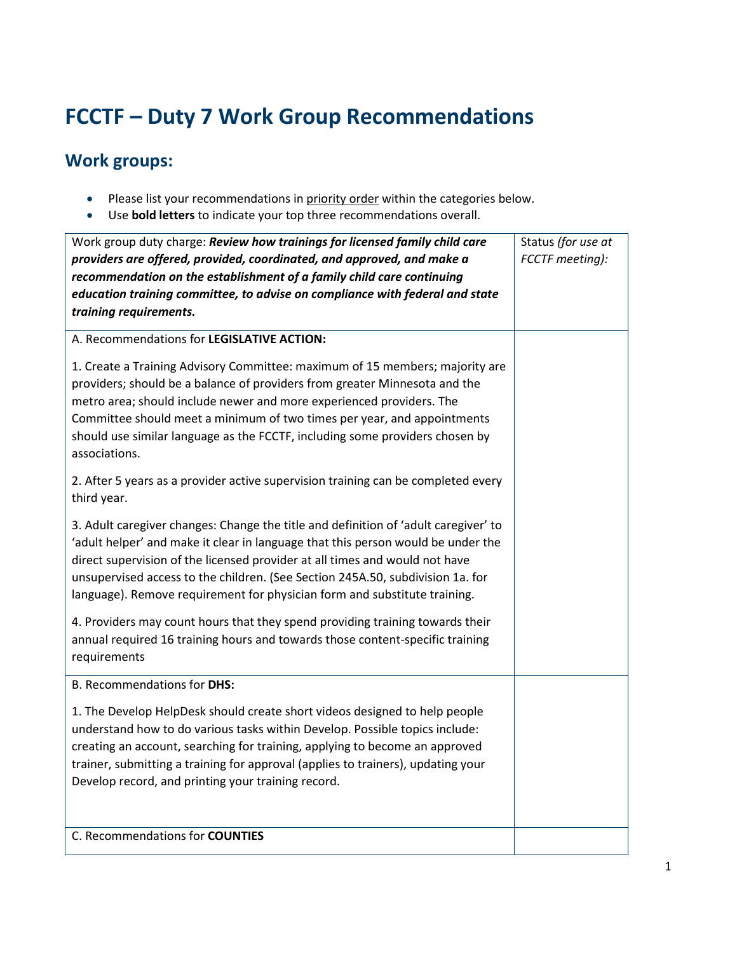## **FCCTF – Duty 7 Work Group Recommendations**

## **Work groups:**

- Please list your recommendations in priority order within the categories below.
- Use **bold letters** to indicate your top three recommendations overall.

| Work group duty charge: Review how trainings for licensed family child care                                                                                                                                                                                                                                                                                                                                           | Status (for use at |
|-----------------------------------------------------------------------------------------------------------------------------------------------------------------------------------------------------------------------------------------------------------------------------------------------------------------------------------------------------------------------------------------------------------------------|--------------------|
| providers are offered, provided, coordinated, and approved, and make a<br>recommendation on the establishment of a family child care continuing                                                                                                                                                                                                                                                                       | FCCTF meeting):    |
| education training committee, to advise on compliance with federal and state                                                                                                                                                                                                                                                                                                                                          |                    |
| training requirements.                                                                                                                                                                                                                                                                                                                                                                                                |                    |
| A. Recommendations for LEGISLATIVE ACTION:                                                                                                                                                                                                                                                                                                                                                                            |                    |
| 1. Create a Training Advisory Committee: maximum of 15 members; majority are<br>providers; should be a balance of providers from greater Minnesota and the<br>metro area; should include newer and more experienced providers. The<br>Committee should meet a minimum of two times per year, and appointments<br>should use similar language as the FCCTF, including some providers chosen by<br>associations.        |                    |
| 2. After 5 years as a provider active supervision training can be completed every<br>third year.                                                                                                                                                                                                                                                                                                                      |                    |
| 3. Adult caregiver changes: Change the title and definition of 'adult caregiver' to<br>'adult helper' and make it clear in language that this person would be under the<br>direct supervision of the licensed provider at all times and would not have<br>unsupervised access to the children. (See Section 245A.50, subdivision 1a. for<br>language). Remove requirement for physician form and substitute training. |                    |
| 4. Providers may count hours that they spend providing training towards their<br>annual required 16 training hours and towards those content-specific training<br>requirements                                                                                                                                                                                                                                        |                    |
| B. Recommendations for DHS:                                                                                                                                                                                                                                                                                                                                                                                           |                    |
| 1. The Develop HelpDesk should create short videos designed to help people<br>understand how to do various tasks within Develop. Possible topics include:<br>creating an account, searching for training, applying to become an approved<br>trainer, submitting a training for approval (applies to trainers), updating your<br>Develop record, and printing your training record.                                    |                    |
| C. Recommendations for COUNTIES                                                                                                                                                                                                                                                                                                                                                                                       |                    |